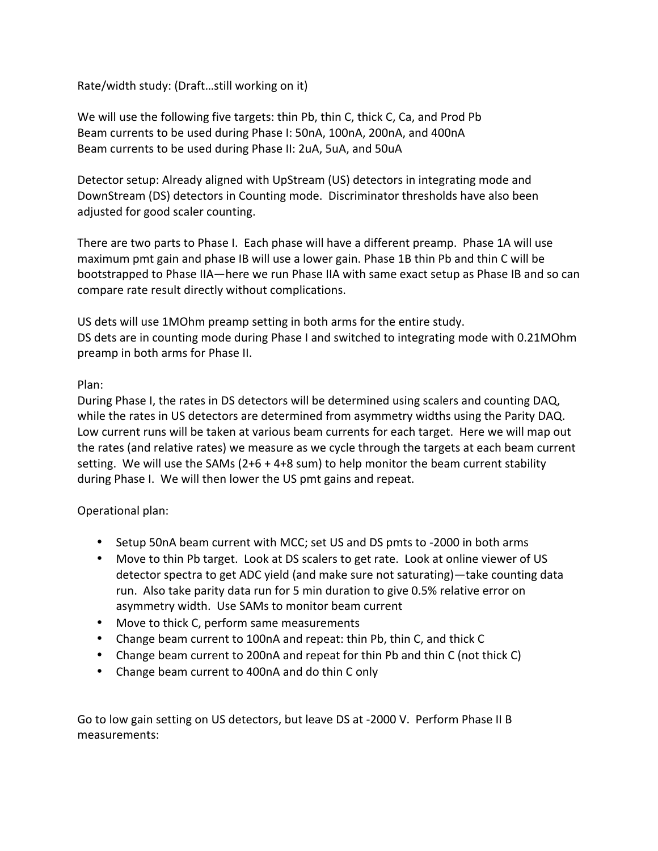Rate/width study: (Draft...still working on it)

We will use the following five targets: thin Pb, thin C, thick C, Ca, and Prod Pb Beam currents to be used during Phase I: 50nA, 100nA, 200nA, and 400nA Beam currents to be used during Phase II: 2uA, 5uA, and 50uA

Detector setup: Already aligned with UpStream (US) detectors in integrating mode and DownStream (DS) detectors in Counting mode. Discriminator thresholds have also been adjusted for good scaler counting.

There are two parts to Phase I. Each phase will have a different preamp. Phase 1A will use maximum pmt gain and phase IB will use a lower gain. Phase 1B thin Pb and thin C will be bootstrapped to Phase IIA—here we run Phase IIA with same exact setup as Phase IB and so can compare rate result directly without complications.

US dets will use 1MOhm preamp setting in both arms for the entire study. DS dets are in counting mode during Phase I and switched to integrating mode with 0.21MOhm preamp in both arms for Phase II.

## Plan:

During Phase I, the rates in DS detectors will be determined using scalers and counting DAQ, while the rates in US detectors are determined from asymmetry widths using the Parity DAQ. Low current runs will be taken at various beam currents for each target. Here we will map out the rates (and relative rates) we measure as we cycle through the targets at each beam current setting. We will use the SAMs  $(2+6 + 4+8 \text{ sum})$  to help monitor the beam current stability during Phase I. We will then lower the US pmt gains and repeat.

## Operational plan:

- Setup 50nA beam current with MCC; set US and DS pmts to -2000 in both arms
- Move to thin Pb target. Look at DS scalers to get rate. Look at online viewer of US detector spectra to get ADC yield (and make sure not saturating)—take counting data run. Also take parity data run for 5 min duration to give 0.5% relative error on asymmetry width. Use SAMs to monitor beam current
- Move to thick C, perform same measurements
- Change beam current to 100nA and repeat: thin Pb, thin C, and thick C
- Change beam current to 200nA and repeat for thin Pb and thin C (not thick C)
- Change beam current to 400nA and do thin C only

Go to low gain setting on US detectors, but leave DS at -2000 V. Perform Phase II B measurements: